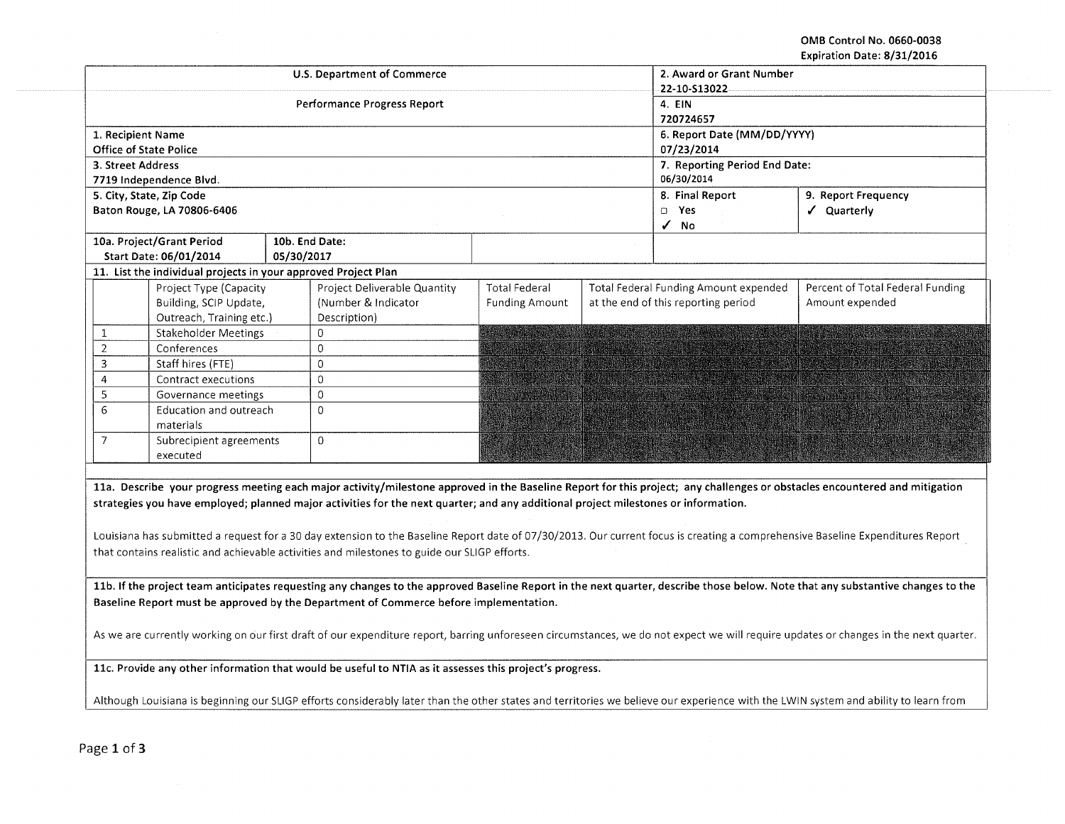OMB Control No. 0660-0038 Expiration Date: 8/31/2016

|                   |                                                                |            | <b>U.S. Department of Commerce</b>                                                                                                 |                       | 2. Award or Grant Number              |                                                                                                                                                                                      |  |  |
|-------------------|----------------------------------------------------------------|------------|------------------------------------------------------------------------------------------------------------------------------------|-----------------------|---------------------------------------|--------------------------------------------------------------------------------------------------------------------------------------------------------------------------------------|--|--|
|                   |                                                                |            | <b>Performance Progress Report</b>                                                                                                 |                       | 22-10-513022<br>4. EIN                |                                                                                                                                                                                      |  |  |
|                   |                                                                |            |                                                                                                                                    |                       | 720724657                             |                                                                                                                                                                                      |  |  |
| 1. Recipient Name |                                                                |            |                                                                                                                                    |                       | 6. Report Date (MM/DD/YYYY)           |                                                                                                                                                                                      |  |  |
|                   | <b>Office of State Police</b>                                  |            |                                                                                                                                    |                       | 07/23/2014                            |                                                                                                                                                                                      |  |  |
| 3. Street Address |                                                                |            |                                                                                                                                    |                       | 7. Reporting Period End Date:         |                                                                                                                                                                                      |  |  |
|                   | 7719 Independence Blvd.                                        |            |                                                                                                                                    |                       | 06/30/2014                            |                                                                                                                                                                                      |  |  |
|                   | 5. City, State, Zip Code                                       |            |                                                                                                                                    |                       | 8. Final Report                       | 9. Report Frequency                                                                                                                                                                  |  |  |
|                   | Baton Rouge, LA 70806-6406                                     |            |                                                                                                                                    |                       | D Yes                                 | √ Quarterly                                                                                                                                                                          |  |  |
|                   |                                                                |            |                                                                                                                                    |                       | √ No                                  |                                                                                                                                                                                      |  |  |
|                   | 10a. Project/Grant Period                                      |            | 10b. End Date:                                                                                                                     |                       |                                       |                                                                                                                                                                                      |  |  |
|                   | Start Date: 06/01/2014                                         | 05/30/2017 |                                                                                                                                    |                       |                                       |                                                                                                                                                                                      |  |  |
|                   | 11. List the individual projects in your approved Project Plan |            |                                                                                                                                    |                       |                                       |                                                                                                                                                                                      |  |  |
|                   | Project Type (Capacity                                         |            | Project Deliverable Quantity                                                                                                       | <b>Total Federal</b>  | Total Federal Funding Amount expended | Percent of Total Federal Funding                                                                                                                                                     |  |  |
|                   | Building, SCIP Update,                                         |            | (Number & Indicator                                                                                                                | <b>Funding Amount</b> | at the end of this reporting period   | Amount expended                                                                                                                                                                      |  |  |
|                   | Outreach, Training etc.)                                       |            | Description)                                                                                                                       |                       |                                       |                                                                                                                                                                                      |  |  |
| $\mathbf{1}$      | Stakeholder Meetings                                           |            | $\mathbf 0$                                                                                                                        |                       |                                       |                                                                                                                                                                                      |  |  |
| $\overline{2}$    | Conferences                                                    |            | $\mathbf 0$                                                                                                                        |                       |                                       |                                                                                                                                                                                      |  |  |
| $\overline{3}$    | Staff hires (FTE)                                              |            | $\Omega$                                                                                                                           |                       |                                       |                                                                                                                                                                                      |  |  |
| $\overline{4}$    | Contract executions                                            |            | $\mathbf 0$                                                                                                                        |                       |                                       |                                                                                                                                                                                      |  |  |
| 5                 | Governance meetings                                            |            | $\mathsf 0$                                                                                                                        |                       |                                       |                                                                                                                                                                                      |  |  |
| 6                 | Education and outreach                                         |            | $\Omega$                                                                                                                           |                       |                                       |                                                                                                                                                                                      |  |  |
| 7                 | materials<br>Subrecipient agreements                           |            | $\Omega$                                                                                                                           |                       |                                       |                                                                                                                                                                                      |  |  |
|                   | executed                                                       |            |                                                                                                                                    |                       |                                       |                                                                                                                                                                                      |  |  |
|                   |                                                                |            |                                                                                                                                    |                       |                                       |                                                                                                                                                                                      |  |  |
|                   |                                                                |            |                                                                                                                                    |                       |                                       | 11a. Describe your progress meeting each major activity/milestone approved in the Baseline Report for this project; any challenges or obstacles encountered and mitigation           |  |  |
|                   |                                                                |            | strategies you have employed; planned major activities for the next quarter; and any additional project milestones or information. |                       |                                       |                                                                                                                                                                                      |  |  |
|                   |                                                                |            |                                                                                                                                    |                       |                                       |                                                                                                                                                                                      |  |  |
|                   |                                                                |            |                                                                                                                                    |                       |                                       |                                                                                                                                                                                      |  |  |
|                   |                                                                |            |                                                                                                                                    |                       |                                       | Louisiana has submitted a request for a 30 day extension to the Baseline Report date of 07/30/2013. Our current focus is creating a comprehensive Baseline Expenditures Report       |  |  |
|                   |                                                                |            | that contains realistic and achievable activities and milestones to guide our SLIGP efforts.                                       |                       |                                       |                                                                                                                                                                                      |  |  |
|                   |                                                                |            |                                                                                                                                    |                       |                                       |                                                                                                                                                                                      |  |  |
|                   |                                                                |            |                                                                                                                                    |                       |                                       | 11b. If the project team anticipates requesting any changes to the approved Baseline Report in the next quarter, describe those below. Note that any substantive changes to the      |  |  |
|                   |                                                                |            | Baseline Report must be approved by the Department of Commerce before implementation.                                              |                       |                                       |                                                                                                                                                                                      |  |  |
|                   |                                                                |            |                                                                                                                                    |                       |                                       |                                                                                                                                                                                      |  |  |
|                   |                                                                |            |                                                                                                                                    |                       |                                       | As we are currently working on our first draft of our expenditure report, barring unforeseen circumstances, we do not expect we will require updates or changes in the next quarter. |  |  |
|                   |                                                                |            |                                                                                                                                    |                       |                                       |                                                                                                                                                                                      |  |  |
|                   |                                                                |            | 11c. Provide any other information that would be useful to NTIA as it assesses this project's progress.                            |                       |                                       |                                                                                                                                                                                      |  |  |
|                   |                                                                |            |                                                                                                                                    |                       |                                       |                                                                                                                                                                                      |  |  |
|                   |                                                                |            |                                                                                                                                    |                       |                                       | Although Louisiana is beginning our SLIGP efforts considerably later than the other states and territories we believe our experience with the LWIN system and ability to learn from  |  |  |
|                   |                                                                |            |                                                                                                                                    |                       |                                       |                                                                                                                                                                                      |  |  |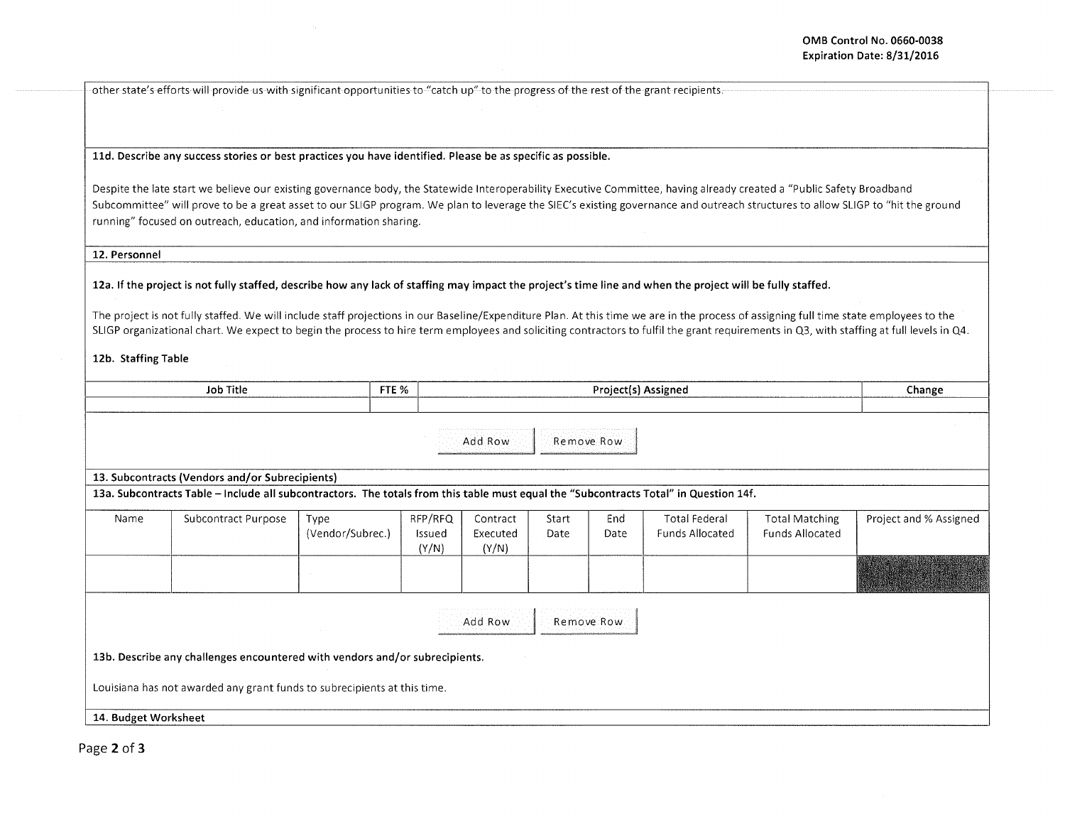other state's efforts will provide us with significant opportunities to "catch up" to the progress of the rest of the grant recipients.

lld. Describe any success stories or best practices you have identified. Please be as specific as possible.

Despite the late start we believe our existing governance body, the Statewide lnteroperability Executive Committee, having already created a "Public Safety Broadband Subcommittee" will prove to be a great asset to our SLIGP program. We plan to leverage the SIEC's existing governance and outreach structures to allow SLIGP to "hit the ground running" focused on outreach, education, and information sharing.

12. Personnel

12a. If the project is not fully staffed, describe how any lack of staffing may impact the project's time line and when the project will be fully staffed.

The project is not fully staffed. We will include staff projections in our Baseline/Expenditure Plan. At this time we are in the process of assigning full time state employees to the SLIGP organizational chart. We expect to begin the process to hire term employees and soliciting contractors to fulfil the grant requirements in Q3, with staffing at full levels in Q4.

12b. Staffing Table

|                      | <b>Job Title</b>                                                                                                                      | FTE %                    |                            |                               |               | Project(s) Assigned |                                                |                                                 | Change                 |
|----------------------|---------------------------------------------------------------------------------------------------------------------------------------|--------------------------|----------------------------|-------------------------------|---------------|---------------------|------------------------------------------------|-------------------------------------------------|------------------------|
|                      |                                                                                                                                       |                          |                            |                               |               |                     |                                                |                                                 |                        |
|                      |                                                                                                                                       |                          |                            | Add Row                       |               | Remove Row          |                                                |                                                 |                        |
|                      | 13. Subcontracts (Vendors and/or Subrecipients)                                                                                       |                          |                            |                               |               |                     |                                                |                                                 |                        |
|                      | 13a. Subcontracts Table - Include all subcontractors. The totals from this table must equal the "Subcontracts Total" in Question 14f. |                          |                            |                               |               |                     |                                                |                                                 |                        |
| Name                 | Subcontract Purpose                                                                                                                   | Type<br>(Vendor/Subrec.) | RFP/RFQ<br>Issued<br>(Y/N) | Contract<br>Executed<br>(Y/N) | Start<br>Date | End<br>Date         | <b>Total Federal</b><br><b>Funds Allocated</b> | <b>Total Matching</b><br><b>Funds Allocated</b> | Project and % Assigned |
|                      |                                                                                                                                       |                          |                            |                               |               |                     |                                                |                                                 |                        |
|                      |                                                                                                                                       |                          |                            | Add Row                       |               | Remove Row          |                                                |                                                 |                        |
|                      | 13b. Describe any challenges encountered with vendors and/or subrecipients.                                                           |                          |                            |                               |               |                     |                                                |                                                 |                        |
|                      | Louisiana has not awarded any grant funds to subrecipients at this time.                                                              |                          |                            |                               |               |                     |                                                |                                                 |                        |
| 14. Budget Worksheet |                                                                                                                                       |                          |                            |                               |               |                     |                                                |                                                 |                        |